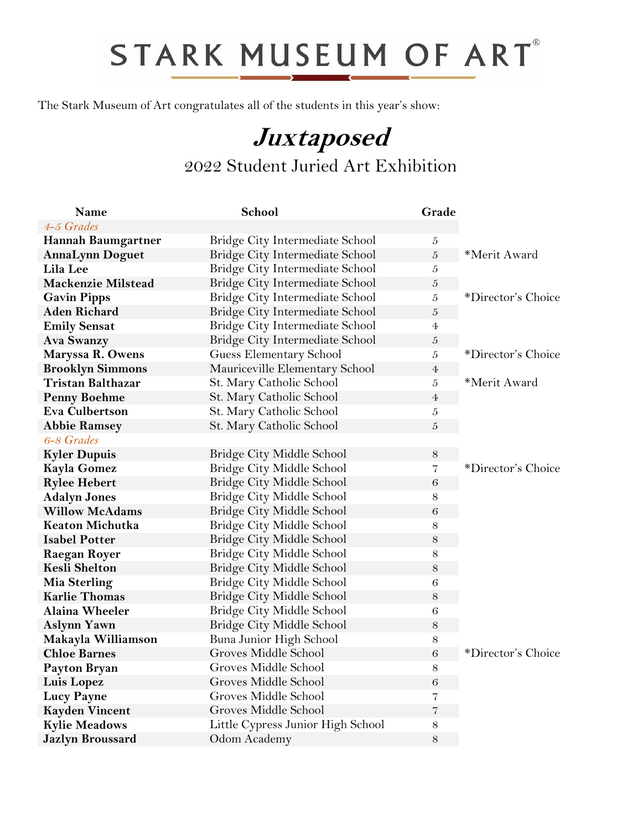## STARK MUSEUM OF ART®

The Stark Museum of Art congratulates all of the students in this year's show:

## **Juxtaposed** 2022 Student Juried Art Exhibition

| Name                      | School                            | Grade            |                    |
|---------------------------|-----------------------------------|------------------|--------------------|
| 4-5 Grades                |                                   |                  |                    |
| <b>Hannah Baumgartner</b> | Bridge City Intermediate School   | 5                |                    |
| <b>AnnaLynn Doguet</b>    | Bridge City Intermediate School   | $\boldsymbol{5}$ | *Merit Award       |
| Lila Lee                  | Bridge City Intermediate School   | 5                |                    |
| <b>Mackenzie Milstead</b> | Bridge City Intermediate School   | $\boldsymbol{5}$ |                    |
| <b>Gavin Pipps</b>        | Bridge City Intermediate School   | 5                | *Director's Choice |
| <b>Aden Richard</b>       | Bridge City Intermediate School   | $\boldsymbol{5}$ |                    |
| <b>Emily Sensat</b>       | Bridge City Intermediate School   | $\overline{4}$   |                    |
| <b>Ava Swanzy</b>         | Bridge City Intermediate School   | $\boldsymbol{5}$ |                    |
| Maryssa R. Owens          | Guess Elementary School           | 5                | *Director's Choice |
| <b>Brooklyn Simmons</b>   | Mauriceville Elementary School    | $\overline{4}$   |                    |
| <b>Tristan Balthazar</b>  | St. Mary Catholic School          | 5                | *Merit Award       |
| <b>Penny Boehme</b>       | St. Mary Catholic School          | $\overline{4}$   |                    |
| <b>Eva Culbertson</b>     | St. Mary Catholic School          | $\boldsymbol{5}$ |                    |
| <b>Abbie Ramsey</b>       | St. Mary Catholic School          | $\mathfrak{H}$   |                    |
| 6-8 Grades                |                                   |                  |                    |
| <b>Kyler Dupuis</b>       | Bridge City Middle School         | $8\,$            |                    |
| <b>Kayla Gomez</b>        | Bridge City Middle School         | $\overline{7}$   | *Director's Choice |
| <b>Rylee Hebert</b>       | Bridge City Middle School         | $\,6$            |                    |
| <b>Adalyn Jones</b>       | Bridge City Middle School         | $8\,$            |                    |
| <b>Willow McAdams</b>     | Bridge City Middle School         | $\,6$            |                    |
| <b>Keaton Michutka</b>    | Bridge City Middle School         | 8                |                    |
| <b>Isabel Potter</b>      | Bridge City Middle School         | $8\,$            |                    |
| <b>Raegan Royer</b>       | Bridge City Middle School         | $8\,$            |                    |
| <b>Kesli Shelton</b>      | Bridge City Middle School         | 8                |                    |
| Mia Sterling              | Bridge City Middle School         | $\sqrt{6}$       |                    |
| <b>Karlie Thomas</b>      | Bridge City Middle School         | 8                |                    |
| <b>Alaina Wheeler</b>     | Bridge City Middle School         | $\,6\,$          |                    |
| <b>Aslynn Yawn</b>        | Bridge City Middle School         | $8\,$            |                    |
| Makayla Williamson        | Buna Junior High School           | $8\,$            |                    |
| <b>Chloe Barnes</b>       | Groves Middle School              | $\,6$            | *Director's Choice |
| Payton Bryan              | Groves Middle School              | $8\,$            |                    |
| Luis Lopez                | Groves Middle School              | $\sqrt{6}$       |                    |
| <b>Lucy Payne</b>         | Groves Middle School              | 7                |                    |
| <b>Kayden Vincent</b>     | Groves Middle School              | $\overline{7}$   |                    |
| <b>Kylie Meadows</b>      | Little Cypress Junior High School | $8\,$            |                    |
| <b>Jazlyn Broussard</b>   | Odom Academy                      | 8                |                    |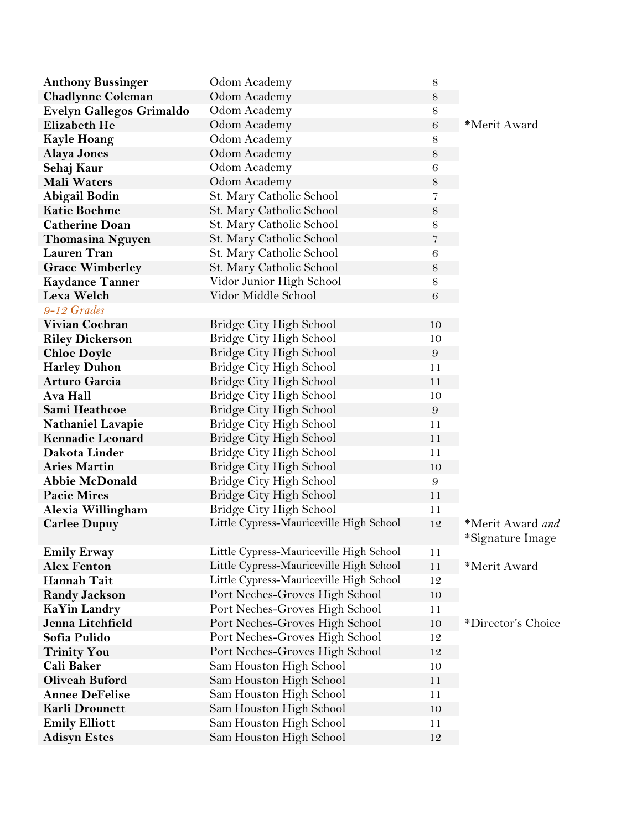| <b>Anthony Bussinger</b> | Odom Academy                            | $8\,$            |                                      |
|--------------------------|-----------------------------------------|------------------|--------------------------------------|
| <b>Chadlynne Coleman</b> | Odom Academy                            | $8\,$            |                                      |
| Evelyn Gallegos Grimaldo | Odom Academy                            | $8\,$            |                                      |
| <b>Elizabeth He</b>      | Odom Academy                            | $\,6$            | *Merit Award                         |
| <b>Kayle Hoang</b>       | Odom Academy                            | $8\,$            |                                      |
| <b>Alaya Jones</b>       | Odom Academy                            | $8\,$            |                                      |
| Sehaj Kaur               | Odom Academy                            | 6                |                                      |
| <b>Mali Waters</b>       | Odom Academy                            | $8\,$            |                                      |
| Abigail Bodin            | St. Mary Catholic School                | 7                |                                      |
| <b>Katie Boehme</b>      | St. Mary Catholic School                | $8\,$            |                                      |
| <b>Catherine Doan</b>    | St. Mary Catholic School                | $8\,$            |                                      |
| <b>Thomasina Nguyen</b>  | St. Mary Catholic School                | 7                |                                      |
| <b>Lauren Tran</b>       | St. Mary Catholic School                | $\,6$            |                                      |
| <b>Grace Wimberley</b>   | St. Mary Catholic School                | $8\,$            |                                      |
| <b>Kaydance Tanner</b>   | Vidor Junior High School                | $8\,$            |                                      |
| Lexa Welch               | Vidor Middle School                     | $\,6$            |                                      |
| 9-12 Grades              |                                         |                  |                                      |
| <b>Vivian Cochran</b>    | Bridge City High School                 | 10               |                                      |
| <b>Riley Dickerson</b>   | Bridge City High School                 | 10               |                                      |
| <b>Chloe Doyle</b>       | Bridge City High School                 | $\boldsymbol{9}$ |                                      |
| <b>Harley Duhon</b>      | Bridge City High School                 | 11               |                                      |
| <b>Arturo Garcia</b>     | Bridge City High School                 | 11               |                                      |
| Ava Hall                 | Bridge City High School                 | 10               |                                      |
| Sami Heathcoe            | Bridge City High School                 | $\boldsymbol{9}$ |                                      |
| <b>Nathaniel Lavapie</b> | Bridge City High School                 | 11               |                                      |
| <b>Kennadie Leonard</b>  | Bridge City High School                 | 11               |                                      |
| Dakota Linder            | Bridge City High School                 | 11               |                                      |
| <b>Aries Martin</b>      | Bridge City High School                 | 10               |                                      |
| <b>Abbie McDonald</b>    | Bridge City High School                 | $\boldsymbol{9}$ |                                      |
| <b>Pacie Mires</b>       | Bridge City High School                 | 11               |                                      |
| Alexia Willingham        | Bridge City High School                 | 11               |                                      |
| <b>Carlee Dupuy</b>      | Little Cypress-Mauriceville High School | 12               | *Merit Award and<br>*Signature Image |
| <b>Emily Erway</b>       | Little Cypress-Mauriceville High School | 11               |                                      |
| <b>Alex Fenton</b>       | Little Cypress-Mauriceville High School | 11               | *Merit Award                         |
| <b>Hannah Tait</b>       | Little Cypress-Mauriceville High School | 12               |                                      |
| <b>Randy Jackson</b>     | Port Neches-Groves High School          | 10               |                                      |
| <b>KaYin Landry</b>      | Port Neches-Groves High School          | 11               |                                      |
| Jenna Litchfield         | Port Neches-Groves High School          | 10               | *Director's Choice                   |
| Sofia Pulido             | Port Neches-Groves High School          | 12               |                                      |
| <b>Trinity You</b>       | Port Neches-Groves High School          | 12               |                                      |
| <b>Cali Baker</b>        | Sam Houston High School                 | 10               |                                      |
| <b>Oliveah Buford</b>    | Sam Houston High School                 | 11               |                                      |
| <b>Annee DeFelise</b>    | Sam Houston High School                 | 11               |                                      |
| <b>Karli Drounett</b>    | Sam Houston High School                 | 10               |                                      |
| <b>Emily Elliott</b>     | Sam Houston High School                 | 11               |                                      |
| <b>Adisyn Estes</b>      | Sam Houston High School                 | 12               |                                      |